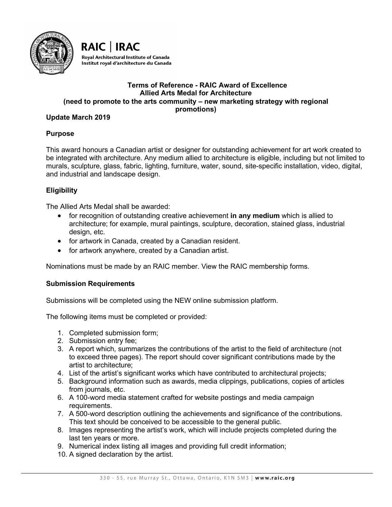



## **Terms of Reference - RAIC Award of Excellence Allied Arts Medal for Architecture (need to promote to the arts community – new marketing strategy with regional promotions)**

## **Update March 2019**

# **Purpose**

This award honours a Canadian artist or designer for outstanding achievement for art work created to be integrated with architecture. Any medium allied to architecture is eligible, including but not limited to murals, sculpture, glass, fabric, lighting, furniture, water, sound, site-specific installation, video, digital, and industrial and landscape design.

# **Eligibility**

The Allied Arts Medal shall be awarded:

- for recognition of outstanding creative achievement **in any medium** which is allied to architecture; for example, mural paintings, sculpture, decoration, stained glass, industrial design, etc.
- for artwork in Canada, created by a Canadian resident.
- for artwork anywhere, created by a Canadian artist.

Nominations must be made by an RAIC member. View the RAIC membership forms.

### **Submission Requirements**

Submissions will be completed using the NEW online submission platform.

The following items must be completed or provided:

- 1. Completed submission form;
- 2. Submission entry fee;
- 3. A report which, summarizes the contributions of the artist to the field of architecture (not to exceed three pages). The report should cover significant contributions made by the artist to architecture;
- 4. List of the artist's significant works which have contributed to architectural projects;
- 5. Background information such as awards, media clippings, publications, copies of articles from journals, etc.
- 6. A 100-word media statement crafted for website postings and media campaign requirements.
- 7. A 500-word description outlining the achievements and significance of the contributions. This text should be conceived to be accessible to the general public.
- 8. Images representing the artist's work, which will include projects completed during the last ten years or more.
- 9. Numerical index listing all images and providing full credit information;
- 10. A signed declaration by the artist.